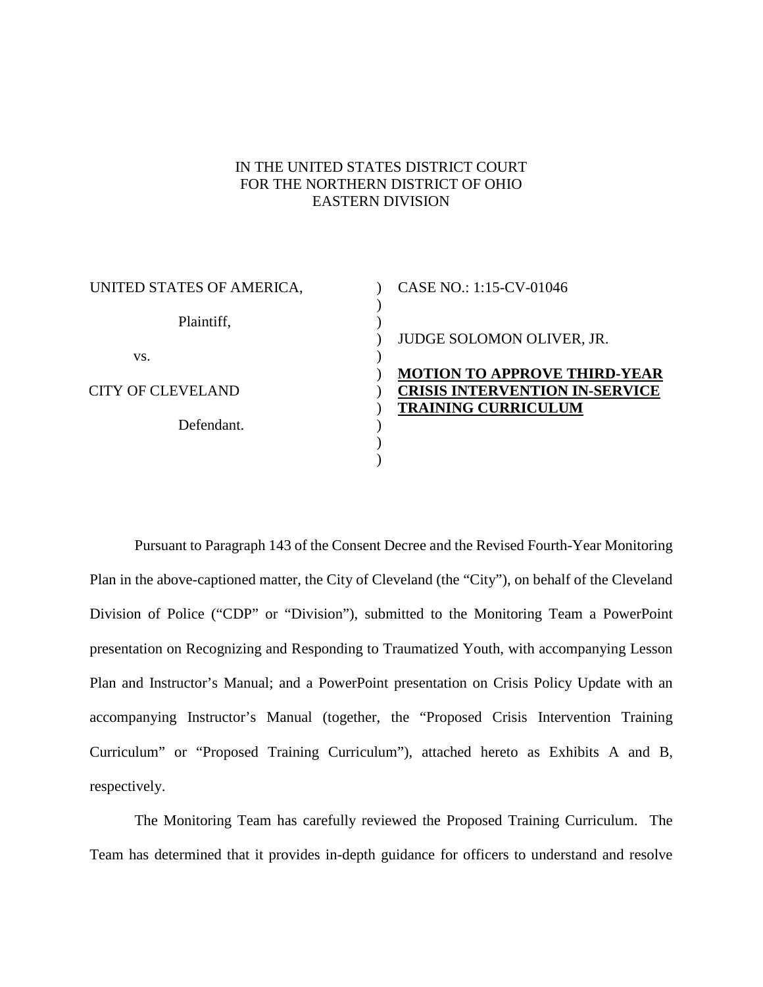### IN THE UNITED STATES DISTRICT COURT FOR THE NORTHERN DISTRICT OF OHIO EASTERN DIVISION

 $\mathcal{L}$  $\lambda$  $\overline{)}$ 

 $\lambda$ 

 $\mathcal{L}$  $\mathcal{L}$  $\mathcal{L}$ )  $\lambda$ 

| UNITED STATES OF AMERICA, |
|---------------------------|
| Plaintiff,                |
| VS.                       |
| CITY OF CLEVELAND         |
| Defendant                 |
|                           |

## $\overline{)}$  $\overline{)}$ CASE NO.: 1:15-CV-01046 JUDGE SOLOMON OLIVER, JR. **MOTION TO APPROVE THIRD-YEAR CRISIS INTERVENTION IN-SERVICE TRAINING CURRICULUM**

Pursuant to Paragraph 143 of the Consent Decree and the Revised Fourth-Year Monitoring Plan in the above-captioned matter, the City of Cleveland (the "City"), on behalf of the Cleveland Division of Police ("CDP" or "Division"), submitted to the Monitoring Team a PowerPoint presentation on Recognizing and Responding to Traumatized Youth, with accompanying Lesson Plan and Instructor's Manual; and a PowerPoint presentation on Crisis Policy Update with an accompanying Instructor's Manual (together, the "Proposed Crisis Intervention Training Curriculum" or "Proposed Training Curriculum"), attached hereto as Exhibits A and B, respectively.

The Monitoring Team has carefully reviewed the Proposed Training Curriculum. The Team has determined that it provides in-depth guidance for officers to understand and resolve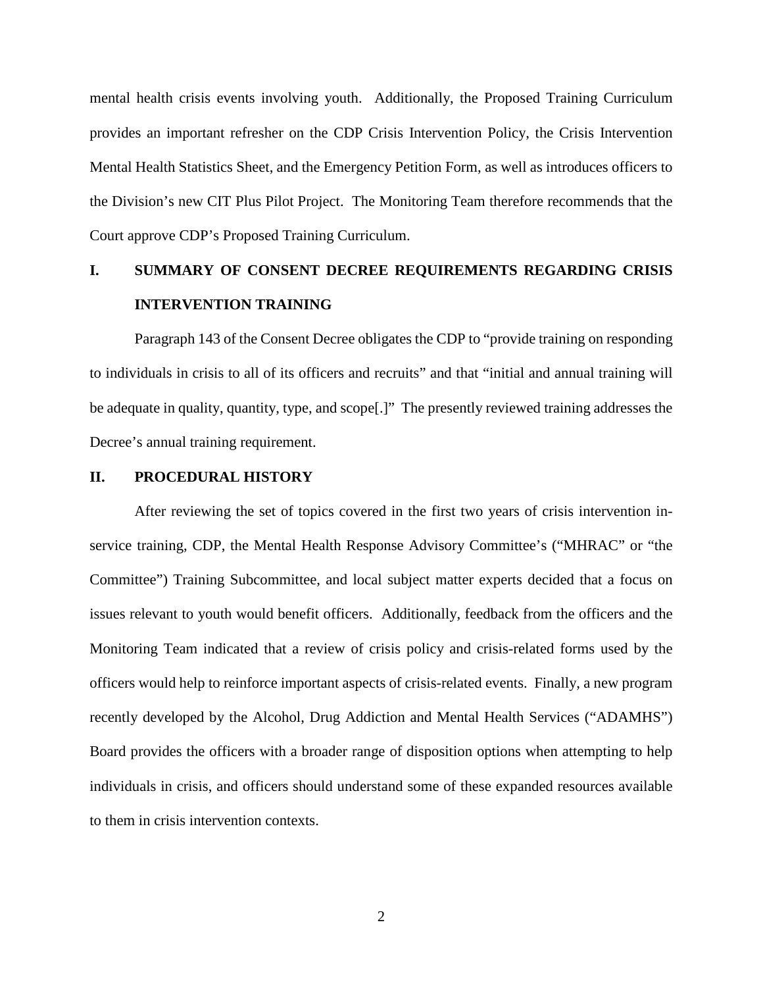mental health crisis events involving youth. Additionally, the Proposed Training Curriculum provides an important refresher on the CDP Crisis Intervention Policy, the Crisis Intervention Mental Health Statistics Sheet, and the Emergency Petition Form, as well as introduces officers to the Division's new CIT Plus Pilot Project. The Monitoring Team therefore recommends that the Court approve CDP's Proposed Training Curriculum.

# **I. SUMMARY OF CONSENT DECREE REQUIREMENTS REGARDING CRISIS INTERVENTION TRAINING**

Paragraph 143 of the Consent Decree obligates the CDP to "provide training on responding to individuals in crisis to all of its officers and recruits" and that "initial and annual training will be adequate in quality, quantity, type, and scope[.]" The presently reviewed training addresses the Decree's annual training requirement.

#### **II. PROCEDURAL HISTORY**

After reviewing the set of topics covered in the first two years of crisis intervention inservice training, CDP, the Mental Health Response Advisory Committee's ("MHRAC" or "the Committee") Training Subcommittee, and local subject matter experts decided that a focus on issues relevant to youth would benefit officers. Additionally, feedback from the officers and the Monitoring Team indicated that a review of crisis policy and crisis-related forms used by the officers would help to reinforce important aspects of crisis-related events. Finally, a new program recently developed by the Alcohol, Drug Addiction and Mental Health Services ("ADAMHS") Board provides the officers with a broader range of disposition options when attempting to help individuals in crisis, and officers should understand some of these expanded resources available to them in crisis intervention contexts.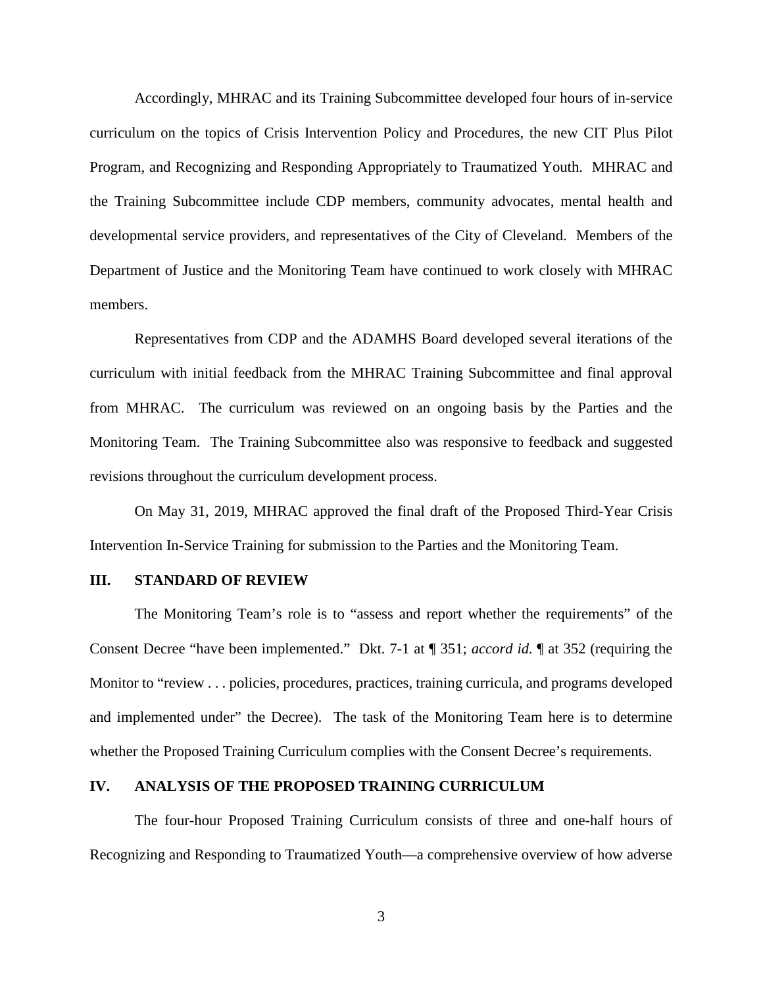Accordingly, MHRAC and its Training Subcommittee developed four hours of in-service curriculum on the topics of Crisis Intervention Policy and Procedures, the new CIT Plus Pilot Program, and Recognizing and Responding Appropriately to Traumatized Youth. MHRAC and the Training Subcommittee include CDP members, community advocates, mental health and developmental service providers, and representatives of the City of Cleveland. Members of the Department of Justice and the Monitoring Team have continued to work closely with MHRAC members.

Representatives from CDP and the ADAMHS Board developed several iterations of the curriculum with initial feedback from the MHRAC Training Subcommittee and final approval from MHRAC. The curriculum was reviewed on an ongoing basis by the Parties and the Monitoring Team. The Training Subcommittee also was responsive to feedback and suggested revisions throughout the curriculum development process.

On May 31, 2019, MHRAC approved the final draft of the Proposed Third-Year Crisis Intervention In-Service Training for submission to the Parties and the Monitoring Team.

#### **III. STANDARD OF REVIEW**

The Monitoring Team's role is to "assess and report whether the requirements" of the Consent Decree "have been implemented." Dkt. 7-1 at ¶ 351; *accord id.* ¶ at 352 (requiring the Monitor to "review . . . policies, procedures, practices, training curricula, and programs developed and implemented under" the Decree). The task of the Monitoring Team here is to determine whether the Proposed Training Curriculum complies with the Consent Decree's requirements.

#### **IV. ANALYSIS OF THE PROPOSED TRAINING CURRICULUM**

The four-hour Proposed Training Curriculum consists of three and one-half hours of Recognizing and Responding to Traumatized Youth—a comprehensive overview of how adverse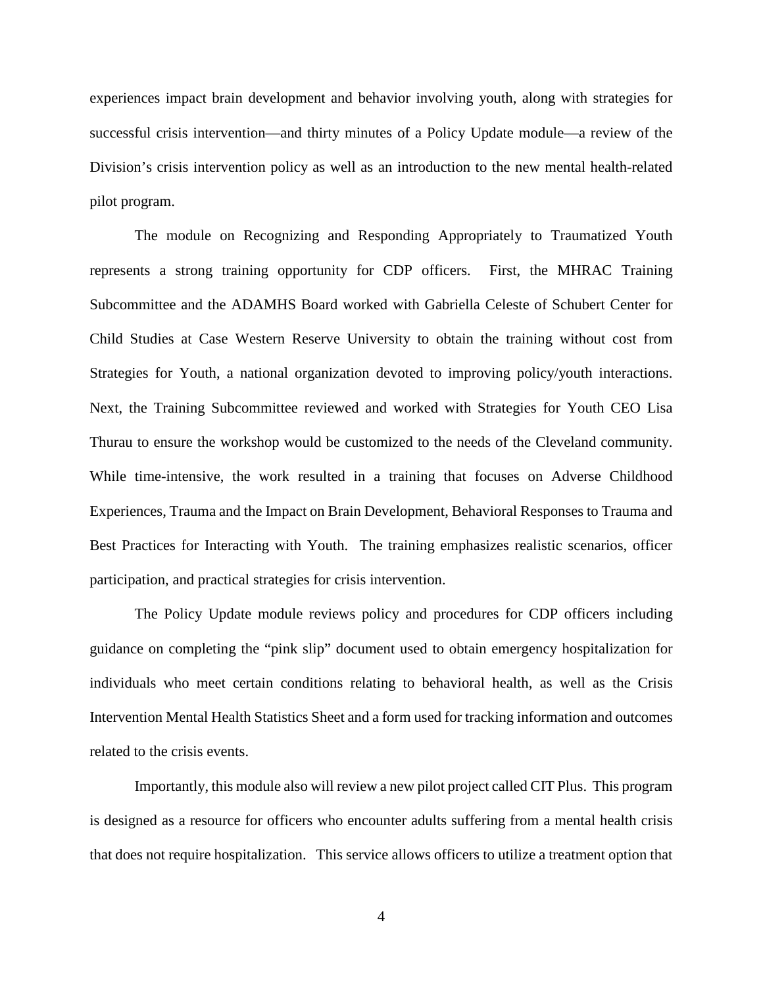experiences impact brain development and behavior involving youth, along with strategies for successful crisis intervention—and thirty minutes of a Policy Update module—a review of the Division's crisis intervention policy as well as an introduction to the new mental health-related pilot program.

The module on Recognizing and Responding Appropriately to Traumatized Youth represents a strong training opportunity for CDP officers. First, the MHRAC Training Subcommittee and the ADAMHS Board worked with Gabriella Celeste of Schubert Center for Child Studies at Case Western Reserve University to obtain the training without cost from Strategies for Youth, a national organization devoted to improving policy/youth interactions. Next, the Training Subcommittee reviewed and worked with Strategies for Youth CEO Lisa Thurau to ensure the workshop would be customized to the needs of the Cleveland community. While time-intensive, the work resulted in a training that focuses on Adverse Childhood Experiences, Trauma and the Impact on Brain Development, Behavioral Responses to Trauma and Best Practices for Interacting with Youth. The training emphasizes realistic scenarios, officer participation, and practical strategies for crisis intervention.

The Policy Update module reviews policy and procedures for CDP officers including guidance on completing the "pink slip" document used to obtain emergency hospitalization for individuals who meet certain conditions relating to behavioral health, as well as the Crisis Intervention Mental Health Statistics Sheet and a form used for tracking information and outcomes related to the crisis events.

Importantly, this module also will review a new pilot project called CIT Plus. This program is designed as a resource for officers who encounter adults suffering from a mental health crisis that does not require hospitalization. This service allows officers to utilize a treatment option that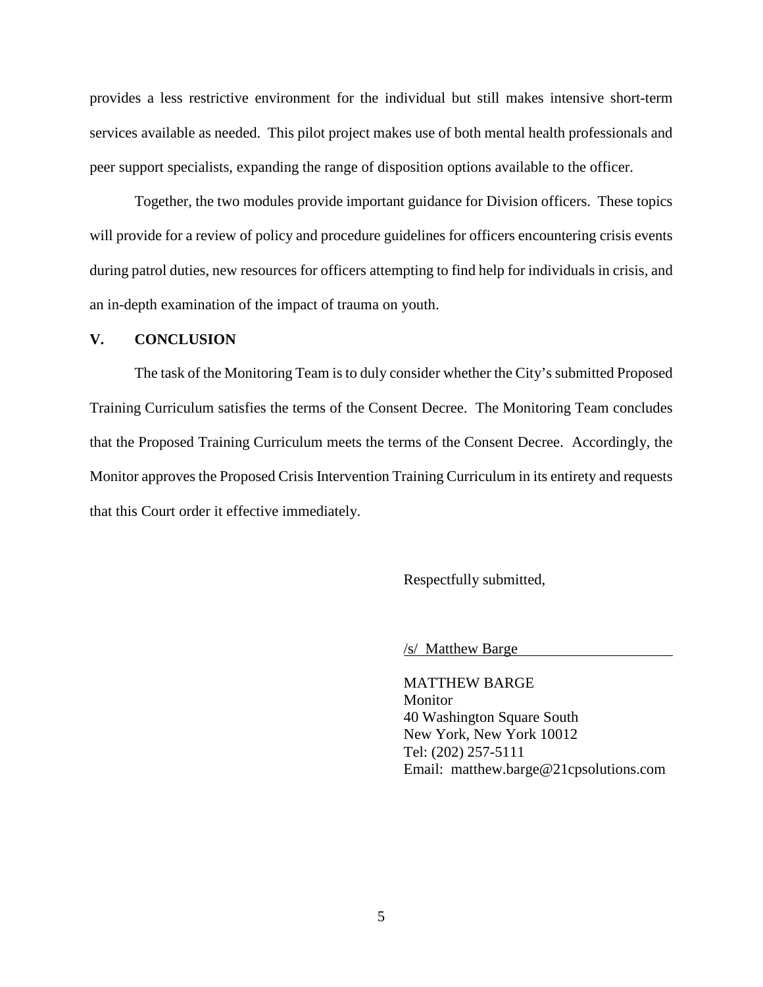provides a less restrictive environment for the individual but still makes intensive short-term services available as needed. This pilot project makes use of both mental health professionals and peer support specialists, expanding the range of disposition options available to the officer.

Together, the two modules provide important guidance for Division officers. These topics will provide for a review of policy and procedure guidelines for officers encountering crisis events during patrol duties, new resources for officers attempting to find help for individuals in crisis, and an in-depth examination of the impact of trauma on youth.

#### **V. CONCLUSION**

The task of the Monitoring Team is to duly consider whether the City's submitted Proposed Training Curriculum satisfies the terms of the Consent Decree. The Monitoring Team concludes that the Proposed Training Curriculum meets the terms of the Consent Decree. Accordingly, the Monitor approves the Proposed Crisis Intervention Training Curriculum in its entirety and requests that this Court order it effective immediately.

Respectfully submitted,

/s/ Matthew Barge

MATTHEW BARGE Monitor 40 Washington Square South New York, New York 10012 Tel: (202) 257-5111 Email: matthew.barge@21cpsolutions.com